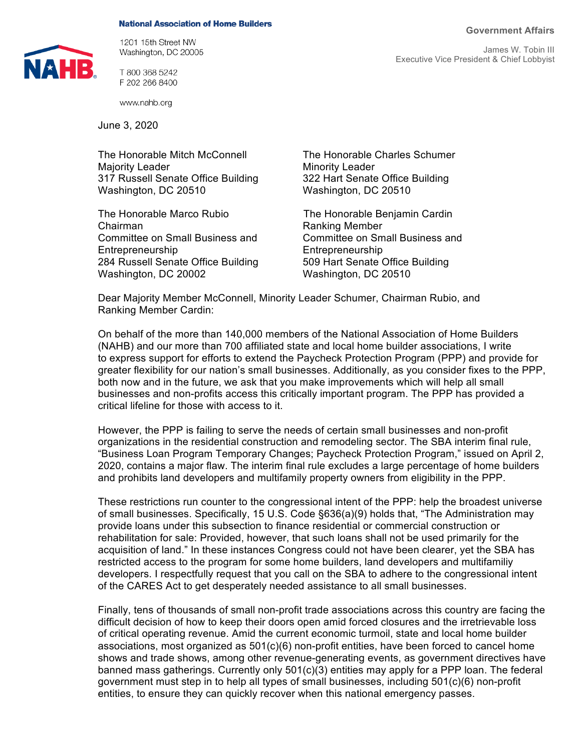## **Government Affairs**

**National Association of Home Builders** 



1201 15th Street NW Washington, DC 20005

T 800 368 5242 F 202 266 8400

www.nahb.org

June 3, 2020

The Honorable Mitch McConnell The Honorable Charles Schumer Majority Leader **Minority Leader** Minority Leader 317 Russell Senate Office Building 322 Hart Senate Office Building Washington, DC 20510 Washington, DC 20510

The Honorable Marco Rubio The Honorable Benjamin Cardin Chairman **Chairman** Ranking Member Committee on Small Business and Committee on Small Business and Entrepreneurship Entrepreneurship 284 Russell Senate Office Building 509 Hart Senate Office Building Washington, DC 20002 Washington, DC 20510

Dear Majority Member McConnell, Minority Leader Schumer, Chairman Rubio, and Ranking Member Cardin:

On behalf of the more than 140,000 members of the National Association of Home Builders (NAHB) and our more than 700 affiliated state and local home builder associations, I write to express support for efforts to extend the Paycheck Protection Program (PPP) and provide for greater flexibility for our nation's small businesses. Additionally, as you consider fixes to the PPP, both now and in the future, we ask that you make improvements which will help all small businesses and non-profits access this critically important program. The PPP has provided a critical lifeline for those with access to it.

However, the PPP is failing to serve the needs of certain small businesses and non-profit organizations in the residential construction and remodeling sector. The SBA interim final rule, "Business Loan Program Temporary Changes; Paycheck Protection Program," issued on April 2, 2020, contains a major flaw. The interim final rule excludes a large percentage of home builders and prohibits land developers and multifamily property owners from eligibility in the PPP.

These restrictions run counter to the congressional intent of the PPP: help the broadest universe of small businesses. Specifically, 15 U.S. Code §636(a)(9) holds that, "The Administration may provide loans under this subsection to finance residential or commercial construction or rehabilitation for sale: Provided, however, that such loans shall not be used primarily for the acquisition of land." In these instances Congress could not have been clearer, yet the SBA has restricted access to the program for some home builders, land developers and multifamiliy developers. I respectfully request that you call on the SBA to adhere to the congressional intent of the CARES Act to get desperately needed assistance to all small businesses.

Finally, tens of thousands of small non-profit trade associations across this country are facing the difficult decision of how to keep their doors open amid forced closures and the irretrievable loss of critical operating revenue. Amid the current economic turmoil, state and local home builder associations, most organized as 501(c)(6) non-profit entities, have been forced to cancel home shows and trade shows, among other revenue-generating events, as government directives have banned mass gatherings. Currently only 501(c)(3) entities may apply for a PPP loan. The federal government must step in to help all types of small businesses, including 501(c)(6) non-profit entities, to ensure they can quickly recover when this national emergency passes.

James W. Tobin III Executive Vice President & Chief Lobbyist